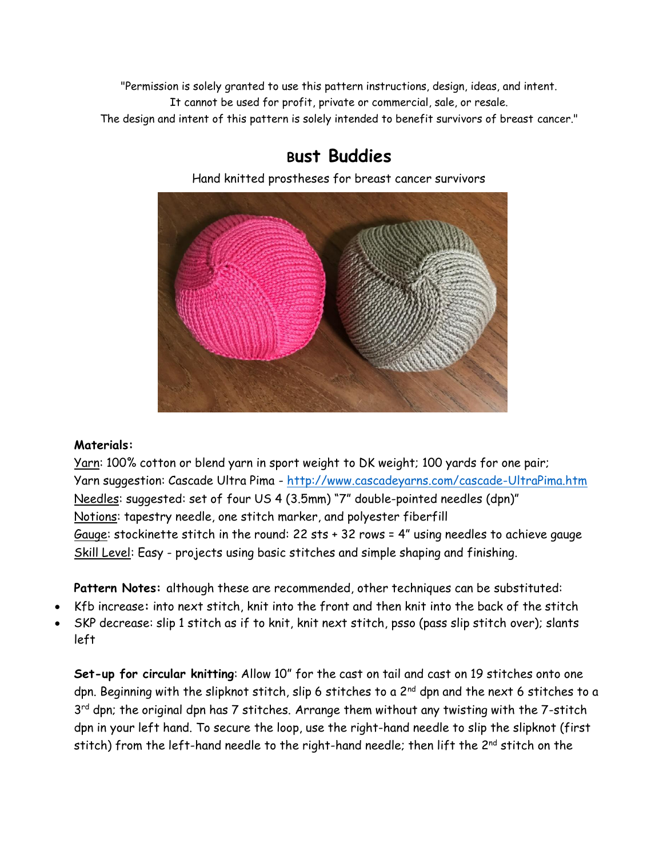"Permission is solely granted to use this pattern instructions, design, ideas, and intent. It cannot be used for profit, private or commercial, sale, or resale. The design and intent of this pattern is solely intended to benefit survivors of breast cancer."

## **Bust Buddies**

Hand knitted prostheses for breast cancer survivors



## **Materials:**

Yarn: 100% cotton or blend yarn in sport weight to DK weight; 100 yards for one pair; Yarn suggestion: Cascade Ultra Pima - <http://www.cascadeyarns.com/cascade-UltraPima.htm> Needles: suggested: set of four US 4 (3.5mm) "7" double-pointed needles (dpn)" Notions: tapestry needle, one stitch marker, and polyester fiberfill Gauge: stockinette stitch in the round: 22 sts + 32 rows = 4" using needles to achieve gauge Skill Level: Easy - projects using basic stitches and simple shaping and finishing.

**Pattern Notes:** although these are recommended, other techniques can be substituted:

- Kfb increase**:** into next stitch, knit into the front and then knit into the back of the stitch
- SKP decrease: slip 1 stitch as if to knit, knit next stitch, psso (pass slip stitch over); slants left

**Set-up for circular knitting**: Allow 10" for the cast on tail and cast on 19 stitches onto one dpn. Beginning with the slipknot stitch, slip 6 stitches to a 2<sup>nd</sup> dpn and the next 6 stitches to a 3<sup>rd</sup> dpn; the original dpn has 7 stitches. Arrange them without any twisting with the 7-stitch dpn in your left hand. To secure the loop, use the right-hand needle to slip the slipknot (first stitch) from the left-hand needle to the right-hand needle; then lift the  $2^{nd}$  stitch on the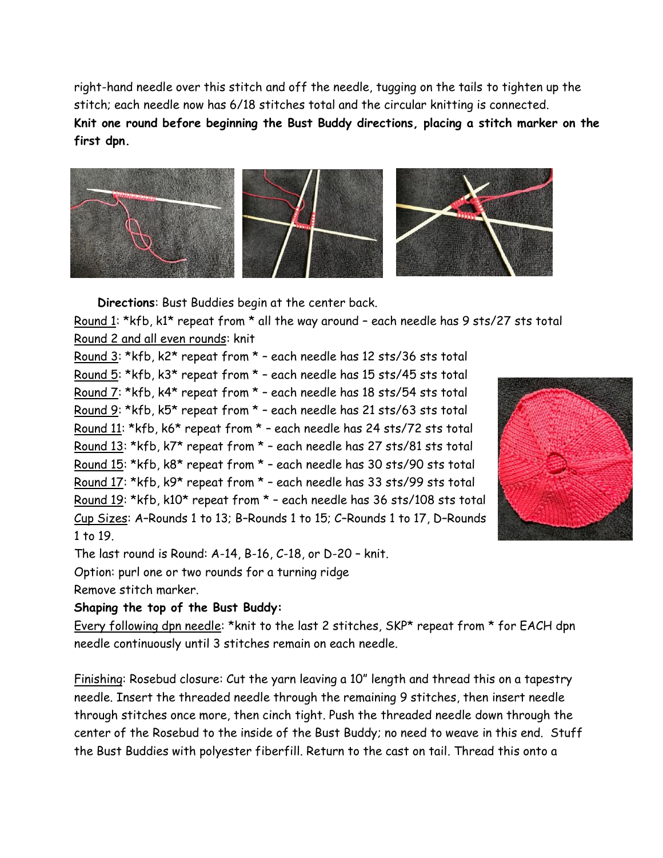right-hand needle over this stitch and off the needle, tugging on the tails to tighten up the stitch; each needle now has 6/18 stitches total and the circular knitting is connected. **Knit one round before beginning the Bust Buddy directions, placing a stitch marker on the first dpn.** 



**Directions**: Bust Buddies begin at the center back.

Round 1: \*kfb, k1\* repeat from \* all the way around – each needle has 9 sts/27 sts total Round 2 and all even rounds: knit

Round 3: \*kfb, k2\* repeat from \* – each needle has 12 sts/36 sts total Round 5: \*kfb, k3\* repeat from \* – each needle has 15 sts/45 sts total Round 7: \*kfb, k4\* repeat from \* – each needle has 18 sts/54 sts total Round 9: \*kfb, k5\* repeat from \* – each needle has 21 sts/63 sts total Round 11: \*kfb, k6\* repeat from \* – each needle has 24 sts/72 sts total Round 13: \*kfb, k7\* repeat from \* – each needle has 27 sts/81 sts total Round 15: \*kfb, k8\* repeat from \* – each needle has 30 sts/90 sts total Round 17: \*kfb, k9\* repeat from \* – each needle has 33 sts/99 sts total Round 19: \*kfb, k10\* repeat from \* – each needle has 36 sts/108 sts total Cup Sizes: A–Rounds 1 to 13; B–Rounds 1 to 15; C–Rounds 1 to 17, D–Rounds 1 to 19.



The last round is Round: A-14, B-16, C-18, or D-20 – knit.

Option: purl one or two rounds for a turning ridge

Remove stitch marker.

## **Shaping the top of the Bust Buddy:**

Every following dpn needle: \*knit to the last 2 stitches, SKP\* repeat from \* for EACH dpn needle continuously until 3 stitches remain on each needle.

Finishing: Rosebud closure: Cut the yarn leaving a 10" length and thread this on a tapestry needle. Insert the threaded needle through the remaining 9 stitches, then insert needle through stitches once more, then cinch tight. Push the threaded needle down through the center of the Rosebud to the inside of the Bust Buddy; no need to weave in this end. Stuff the Bust Buddies with polyester fiberfill. Return to the cast on tail. Thread this onto a